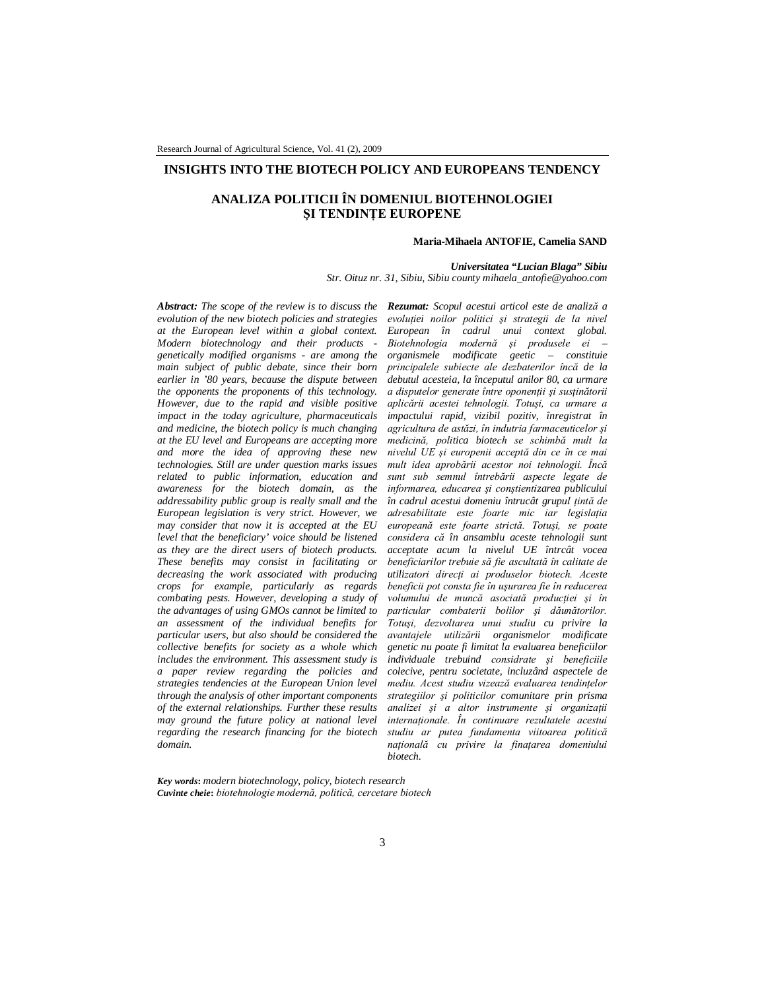# **INSIGHTS INTO THE BIOTECH POLICY AND EUROPEANS TENDENCY**

# **ANALIZA POLITICII ÎN DOMENIUL BIOTEHNOLOGIEI ŞI TENDINŢE EUROPENE**

#### **Maria-Mihaela ANTOFIE, Camelia SAND**

#### *Universitatea "Lucian Blaga" Sibiu*

*Str. Oituz nr. 31, Sibiu, Sibiu county mihaela\_antofie@yahoo.com*

*Abstract: The scope of the review is to discuss the Rezumat: Scopul acestui articol este de analiză a evolution of the new biotech policies and strategies at the European level within a global context. Modern biotechnology and their products genetically modified organisms - are among the main subject of public debate, since their born earlier in '80 years, because the dispute between the opponents the proponents of this technology. However, due to the rapid and visible positive impact in the today agriculture, pharmaceuticals and medicine, the biotech policy is much changing at the EU level and Europeans are accepting more and more the idea of approving these new technologies. Still are under question marks issues related to public information, education and awareness for the biotech domain, as the addressability public group is really small and the European legislation is very strict. However, we may consider that now it is accepted at the EU level that the beneficiary' voice should be listened as they are the direct users of biotech products. These benefits may consist in facilitating or decreasing the work associated with producing crops for example, particularly as regards combating pests. However, developing a study of the advantages of using GMOs cannot be limited to an assessment of the individual benefits for particular users, but also should be considered the collective benefits for society as a whole which includes the environment. This assessment study is a paper review regarding the policies and strategies tendencies at the European Union level through the analysis of other important components of the external relationships. Further these results may ground the future policy at national level regarding the research financing for the biotech domain.*

*evoluţiei noilor politici şi strategii de la nivel European în cadrul unui context global. Biotehnologia modernă şi produsele ei – organismele modificate geetic – constituie principalele subiecte ale dezbaterilor încă de la debutul acesteia, la începutul anilor 80, ca urmare a disputelor generate între oponenţii şi susţinătorii aplicării acestei tehnologii. Totuşi, ca urmare a impactului rapid, vizibil pozitiv, înregistrat în agricultura de astăzi, în indutria farmaceuticelor şi medicină, politica biotech se schimbă mult la nivelul UE şi europenii acceptă din ce în ce mai mult idea aprobării acestor noi tehnologii. Încă sunt sub semnul întrebării aspecte legate de informarea, educarea şi conştientizarea publicului în cadrul acestui domeniu întrucât grupul ţintă de adresabilitate este foarte mic iar legislaţia europeană este foarte strictă. Totuşi, se poate considera că în ansamblu aceste tehnologii sunt acceptate acum la nivelul UE întrcât vocea beneficiarilor trebuie să fie ascultată în calitate de utilizatori direcţi ai produselor biotech. Aceste beneficii pot consta fie în uşurarea fie în reducerea volumului de muncă asociată producţiei şi în particular combaterii bolilor şi dăunătorilor. Totuşi, dezvoltarea unui studiu cu privire la avantajele utilizării organismelor modificate genetic nu poate fi limitat la evaluarea beneficiilor individuale trebuind considrate şi beneficiile colecive, pentru societate, incluzând aspectele de mediu. Acest studiu vizează evaluarea tendinţelor strategiilor şi politicilor comunitare prin prisma analizei şi a altor instrumente şi organizaţii internaţionale. În continuare rezultatele acestui studiu ar putea fundamenta viitoarea politică naţională cu privire la finaţarea domeniului biotech.*

*Key words***:** *modern biotechnology, policy, biotech research Cuvinte cheie***:** *biotehnologie modernă, politică, cercetare biotech*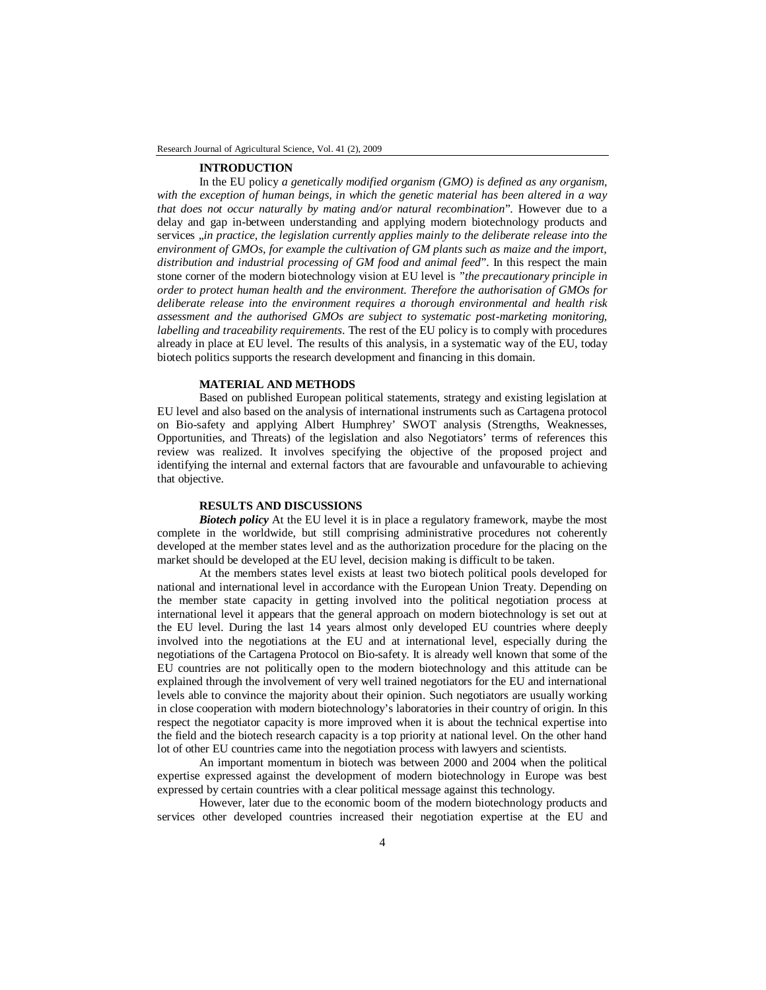#### **INTRODUCTION**

In the EU policy *a genetically modified organism (GMO) is defined as any organism, with the exception of human beings, in which the genetic material has been altered in a way that does not occur naturally by mating and/or natural recombination*". However due to a delay and gap in-between understanding and applying modern biotechnology products and services ..*in practice, the legislation currently applies mainly to the deliberate release into the environment of GMOs, for example the cultivation of GM plants such as maize and the import, distribution and industrial processing of GM food and animal feed*". In this respect the main stone corner of the modern biotechnology vision at EU level is *"the precautionary principle in order to protect human health and the environment. Therefore the authorisation of GMOs for deliberate release into the environment requires a thorough environmental and health risk assessment and the authorised GMOs are subject to systematic post-marketing monitoring, labelling and traceability requirements*. The rest of the EU policy is to comply with procedures already in place at EU level. The results of this analysis, in a systematic way of the EU, today biotech politics supports the research development and financing in this domain.

# **MATERIAL AND METHODS**

Based on published European political statements, strategy and existing legislation at EU level and also based on the analysis of international instruments such as Cartagena protocol on Bio-safety and applying Albert Humphrey' SWOT analysis (Strengths, Weaknesses, Opportunities, and Threats) of the legislation and also Negotiators' terms of references this review was realized. It involves specifying the objective of the proposed project and identifying the internal and external factors that are favourable and unfavourable to achieving that objective.

### **RESULTS AND DISCUSSIONS**

**Biotech policy** At the EU level it is in place a regulatory framework, maybe the most complete in the worldwide, but still comprising administrative procedures not coherently developed at the member states level and as the authorization procedure for the placing on the market should be developed at the EU level, decision making is difficult to be taken.

At the members states level exists at least two biotech political pools developed for national and international level in accordance with the European Union Treaty. Depending on the member state capacity in getting involved into the political negotiation process at international level it appears that the general approach on modern biotechnology is set out at the EU level. During the last 14 years almost only developed EU countries where deeply involved into the negotiations at the EU and at international level, especially during the negotiations of the Cartagena Protocol on Bio-safety. It is already well known that some of the EU countries are not politically open to the modern biotechnology and this attitude can be explained through the involvement of very well trained negotiators for the EU and international levels able to convince the majority about their opinion. Such negotiators are usually working in close cooperation with modern biotechnology's laboratories in their country of origin. In this respect the negotiator capacity is more improved when it is about the technical expertise into the field and the biotech research capacity is a top priority at national level. On the other hand lot of other EU countries came into the negotiation process with lawyers and scientists.

An important momentum in biotech was between 2000 and 2004 when the political expertise expressed against the development of modern biotechnology in Europe was best expressed by certain countries with a clear political message against this technology.

However, later due to the economic boom of the modern biotechnology products and services other developed countries increased their negotiation expertise at the EU and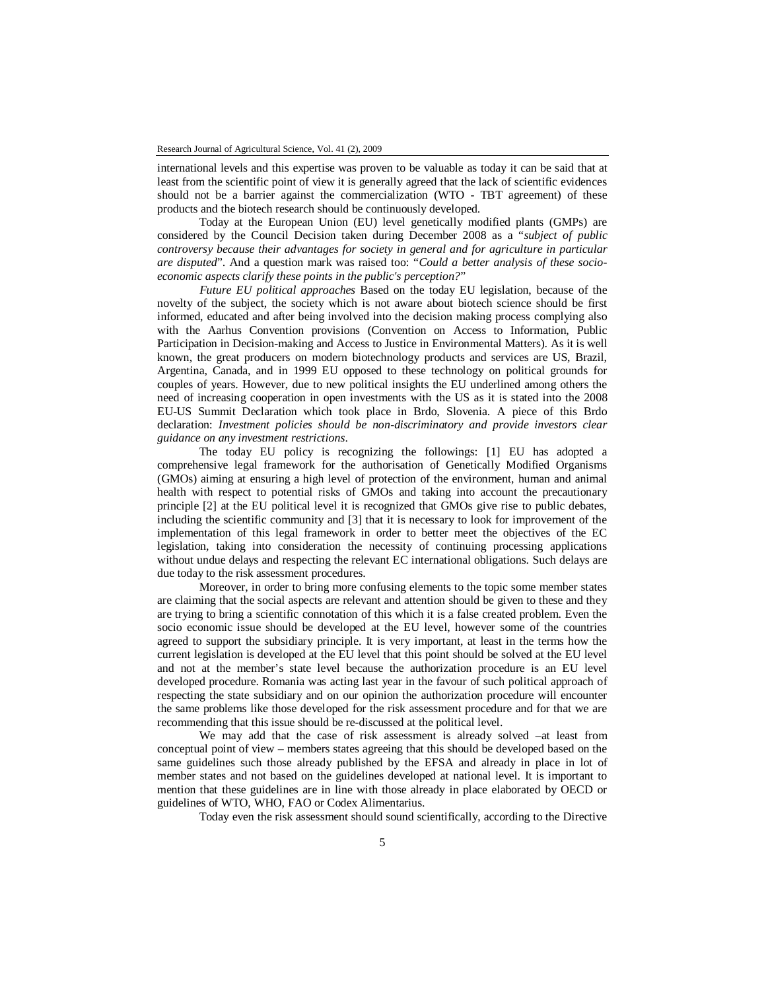international levels and this expertise was proven to be valuable as today it can be said that at least from the scientific point of view it is generally agreed that the lack of scientific evidences should not be a barrier against the commercialization (WTO - TBT agreement) of these products and the biotech research should be continuously developed.

Today at the European Union (EU) level genetically modified plants (GMPs) are considered by the Council Decision taken during December 2008 as a "*subject of public controversy because their advantages for society in general and for agriculture in particular are disputed*". And a question mark was raised too: "*Could a better analysis of these socioeconomic aspects clarify these points in the public's perception?*"

*Future EU political approaches* Based on the today EU legislation, because of the novelty of the subject, the society which is not aware about biotech science should be first informed, educated and after being involved into the decision making process complying also with the Aarhus Convention provisions (Convention on Access to Information, Public Participation in Decision-making and Access to Justice in Environmental Matters). As it is well known, the great producers on modern biotechnology products and services are US, Brazil, Argentina, Canada, and in 1999 EU opposed to these technology on political grounds for couples of years. However, due to new political insights the EU underlined among others the need of increasing cooperation in open investments with the US as it is stated into the 2008 EU-US Summit Declaration which took place in Brdo, Slovenia. A piece of this Brdo declaration: *Investment policies should be non-discriminatory and provide investors clear guidance on any investment restrictions*.

The today EU policy is recognizing the followings: [1] EU has adopted a comprehensive legal framework for the authorisation of Genetically Modified Organisms (GMOs) aiming at ensuring a high level of protection of the environment, human and animal health with respect to potential risks of GMOs and taking into account the precautionary principle [2] at the EU political level it is recognized that GMOs give rise to public debates, including the scientific community and [3] that it is necessary to look for improvement of the implementation of this legal framework in order to better meet the objectives of the EC legislation, taking into consideration the necessity of continuing processing applications without undue delays and respecting the relevant EC international obligations. Such delays are due today to the risk assessment procedures.

Moreover, in order to bring more confusing elements to the topic some member states are claiming that the social aspects are relevant and attention should be given to these and they are trying to bring a scientific connotation of this which it is a false created problem. Even the socio economic issue should be developed at the EU level, however some of the countries agreed to support the subsidiary principle. It is very important, at least in the terms how the current legislation is developed at the EU level that this point should be solved at the EU level and not at the member's state level because the authorization procedure is an EU level developed procedure. Romania was acting last year in the favour of such political approach of respecting the state subsidiary and on our opinion the authorization procedure will encounter the same problems like those developed for the risk assessment procedure and for that we are recommending that this issue should be re-discussed at the political level.

We may add that the case of risk assessment is already solved –at least from conceptual point of view – members states agreeing that this should be developed based on the same guidelines such those already published by the EFSA and already in place in lot of member states and not based on the guidelines developed at national level. It is important to mention that these guidelines are in line with those already in place elaborated by OECD or guidelines of WTO, WHO, FAO or Codex Alimentarius.

Today even the risk assessment should sound scientifically, according to the Directive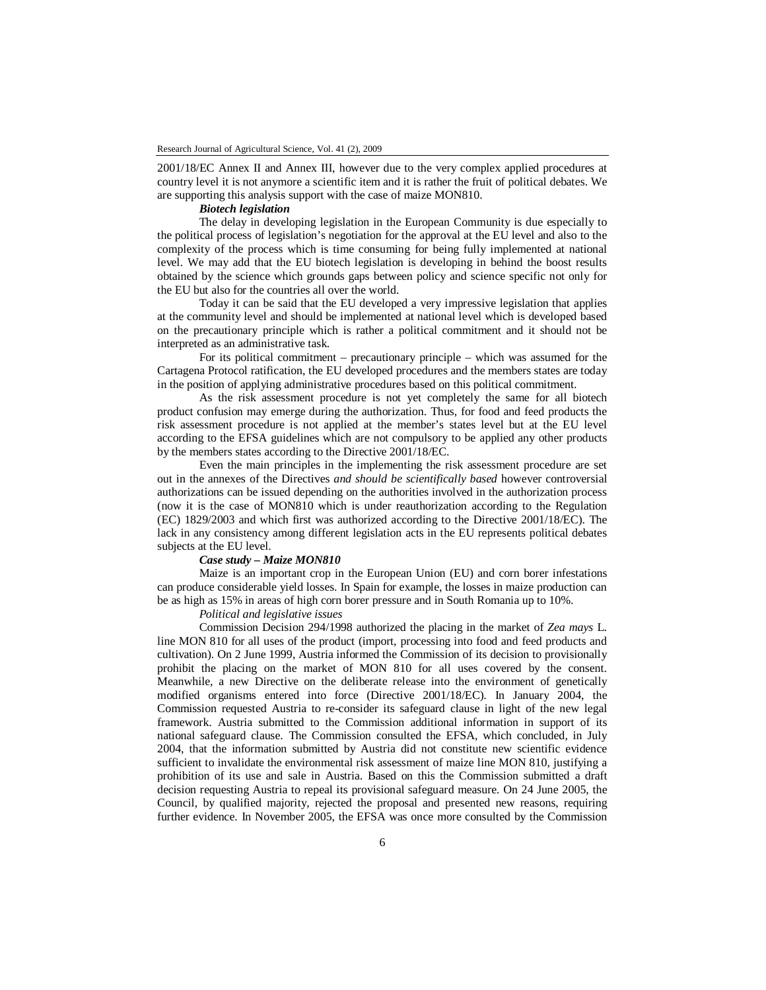2001/18/EC Annex II and Annex III, however due to the very complex applied procedures at country level it is not anymore a scientific item and it is rather the fruit of political debates. We are supporting this analysis support with the case of maize MON810.

### *Biotech legislation*

The delay in developing legislation in the European Community is due especially to the political process of legislation's negotiation for the approval at the EU level and also to the complexity of the process which is time consuming for being fully implemented at national level. We may add that the EU biotech legislation is developing in behind the boost results obtained by the science which grounds gaps between policy and science specific not only for the EU but also for the countries all over the world.

Today it can be said that the EU developed a very impressive legislation that applies at the community level and should be implemented at national level which is developed based on the precautionary principle which is rather a political commitment and it should not be interpreted as an administrative task.

For its political commitment – precautionary principle – which was assumed for the Cartagena Protocol ratification, the EU developed procedures and the members states are today in the position of applying administrative procedures based on this political commitment.

As the risk assessment procedure is not yet completely the same for all biotech product confusion may emerge during the authorization. Thus, for food and feed products the risk assessment procedure is not applied at the member's states level but at the EU level according to the EFSA guidelines which are not compulsory to be applied any other products by the members states according to the Directive 2001/18/EC.

Even the main principles in the implementing the risk assessment procedure are set out in the annexes of the Directives *and should be scientifically based* however controversial authorizations can be issued depending on the authorities involved in the authorization process (now it is the case of MON810 which is under reauthorization according to the Regulation (EC) 1829/2003 and which first was authorized according to the Directive 2001/18/EC). The lack in any consistency among different legislation acts in the EU represents political debates subjects at the EU level.

### *Case study – Maize MON810*

Maize is an important crop in the European Union (EU) and corn borer infestations can produce considerable yield losses. In Spain for example, the losses in maize production can be as high as 15% in areas of high corn borer pressure and in South Romania up to 10%.

# *Political and legislative issues*

Commission Decision 294/1998 authorized the placing in the market of *Zea mays* L. line MON 810 for all uses of the product (import, processing into food and feed products and cultivation). On 2 June 1999, Austria informed the Commission of its decision to provisionally prohibit the placing on the market of MON 810 for all uses covered by the consent. Meanwhile, a new Directive on the deliberate release into the environment of genetically modified organisms entered into force (Directive 2001/18/EC). In January 2004, the Commission requested Austria to re-consider its safeguard clause in light of the new legal framework. Austria submitted to the Commission additional information in support of its national safeguard clause. The Commission consulted the EFSA, which concluded, in July 2004, that the information submitted by Austria did not constitute new scientific evidence sufficient to invalidate the environmental risk assessment of maize line MON 810, justifying a prohibition of its use and sale in Austria. Based on this the Commission submitted a draft decision requesting Austria to repeal its provisional safeguard measure. On 24 June 2005, the Council, by qualified majority, rejected the proposal and presented new reasons, requiring further evidence. In November 2005, the EFSA was once more consulted by the Commission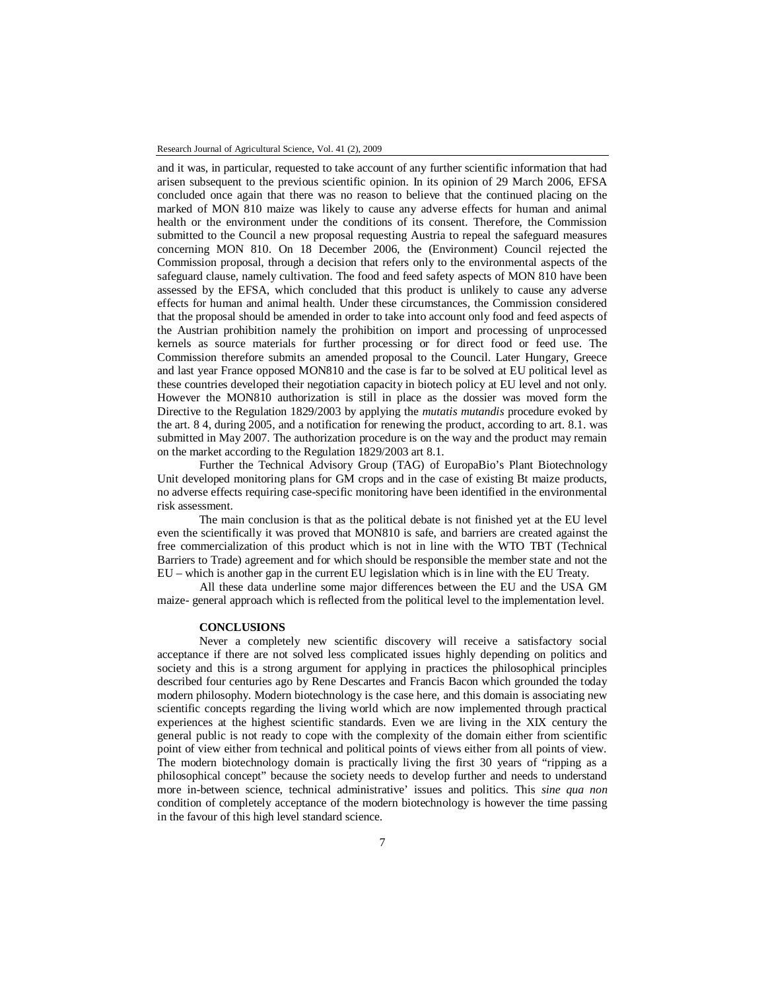and it was, in particular, requested to take account of any further scientific information that had arisen subsequent to the previous scientific opinion. In its opinion of 29 March 2006, EFSA concluded once again that there was no reason to believe that the continued placing on the marked of MON 810 maize was likely to cause any adverse effects for human and animal health or the environment under the conditions of its consent. Therefore, the Commission submitted to the Council a new proposal requesting Austria to repeal the safeguard measures concerning MON 810. On 18 December 2006, the (Environment) Council rejected the Commission proposal, through a decision that refers only to the environmental aspects of the safeguard clause, namely cultivation. The food and feed safety aspects of MON 810 have been assessed by the EFSA, which concluded that this product is unlikely to cause any adverse effects for human and animal health. Under these circumstances, the Commission considered that the proposal should be amended in order to take into account only food and feed aspects of the Austrian prohibition namely the prohibition on import and processing of unprocessed kernels as source materials for further processing or for direct food or feed use. The Commission therefore submits an amended proposal to the Council. Later Hungary, Greece and last year France opposed MON810 and the case is far to be solved at EU political level as these countries developed their negotiation capacity in biotech policy at EU level and not only. However the MON810 authorization is still in place as the dossier was moved form the Directive to the Regulation 1829/2003 by applying the *mutatis mutandis* procedure evoked by the art. 8 4, during 2005, and a notification for renewing the product, according to art. 8.1. was submitted in May 2007. The authorization procedure is on the way and the product may remain on the market according to the Regulation 1829/2003 art 8.1.

Further the Technical Advisory Group (TAG) of EuropaBio's Plant Biotechnology Unit developed monitoring plans for GM crops and in the case of existing Bt maize products, no adverse effects requiring case-specific monitoring have been identified in the environmental risk assessment.

The main conclusion is that as the political debate is not finished yet at the EU level even the scientifically it was proved that MON810 is safe, and barriers are created against the free commercialization of this product which is not in line with the WTO TBT (Technical Barriers to Trade) agreement and for which should be responsible the member state and not the EU – which is another gap in the current EU legislation which is in line with the EU Treaty.

All these data underline some major differences between the EU and the USA GM maize- general approach which is reflected from the political level to the implementation level.

# **CONCLUSIONS**

Never a completely new scientific discovery will receive a satisfactory social acceptance if there are not solved less complicated issues highly depending on politics and society and this is a strong argument for applying in practices the philosophical principles described four centuries ago by Rene Descartes and Francis Bacon which grounded the today modern philosophy. Modern biotechnology is the case here, and this domain is associating new scientific concepts regarding the living world which are now implemented through practical experiences at the highest scientific standards. Even we are living in the XIX century the general public is not ready to cope with the complexity of the domain either from scientific point of view either from technical and political points of views either from all points of view. The modern biotechnology domain is practically living the first 30 years of "ripping as a philosophical concept" because the society needs to develop further and needs to understand more in-between science, technical administrative' issues and politics. This *sine qua non* condition of completely acceptance of the modern biotechnology is however the time passing in the favour of this high level standard science.